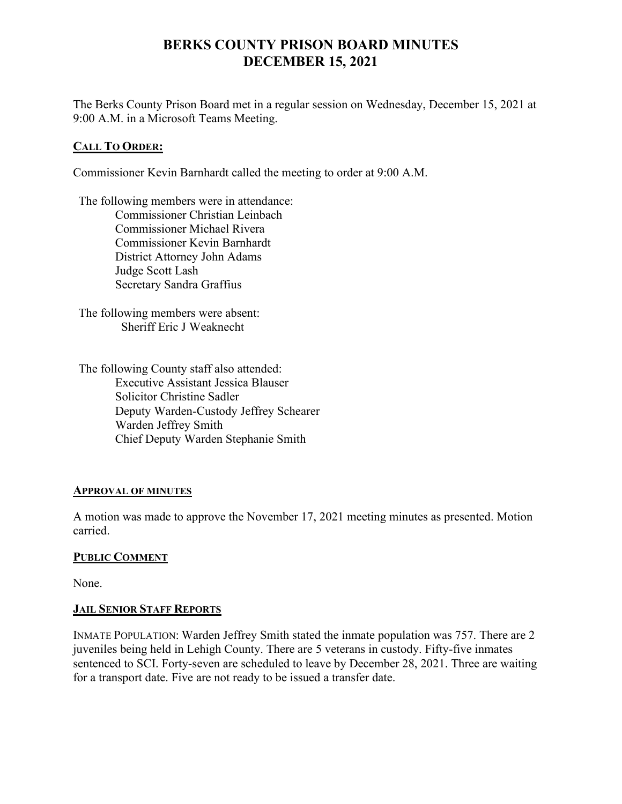# **BERKS COUNTY PRISON BOARD MINUTES DECEMBER 15, 2021**

The Berks County Prison Board met in a regular session on Wednesday, December 15, 2021 at 9:00 A.M. in a Microsoft Teams Meeting.

#### **CALL TO ORDER:**

Commissioner Kevin Barnhardt called the meeting to order at 9:00 A.M.

The following members were in attendance: Commissioner Christian Leinbach Commissioner Michael Rivera Commissioner Kevin Barnhardt District Attorney John Adams Judge Scott Lash Secretary Sandra Graffius

The following members were absent: Sheriff Eric J Weaknecht

The following County staff also attended: Executive Assistant Jessica Blauser Solicitor Christine Sadler Deputy Warden-Custody Jeffrey Schearer Warden Jeffrey Smith Chief Deputy Warden Stephanie Smith

#### **APPROVAL OF MINUTES**

A motion was made to approve the November 17, 2021 meeting minutes as presented. Motion carried.

## **PUBLIC COMMENT**

None.

## **JAIL SENIOR STAFF REPORTS**

INMATE POPULATION: Warden Jeffrey Smith stated the inmate population was 757. There are 2 juveniles being held in Lehigh County. There are 5 veterans in custody. Fifty-five inmates sentenced to SCI. Forty-seven are scheduled to leave by December 28, 2021. Three are waiting for a transport date. Five are not ready to be issued a transfer date.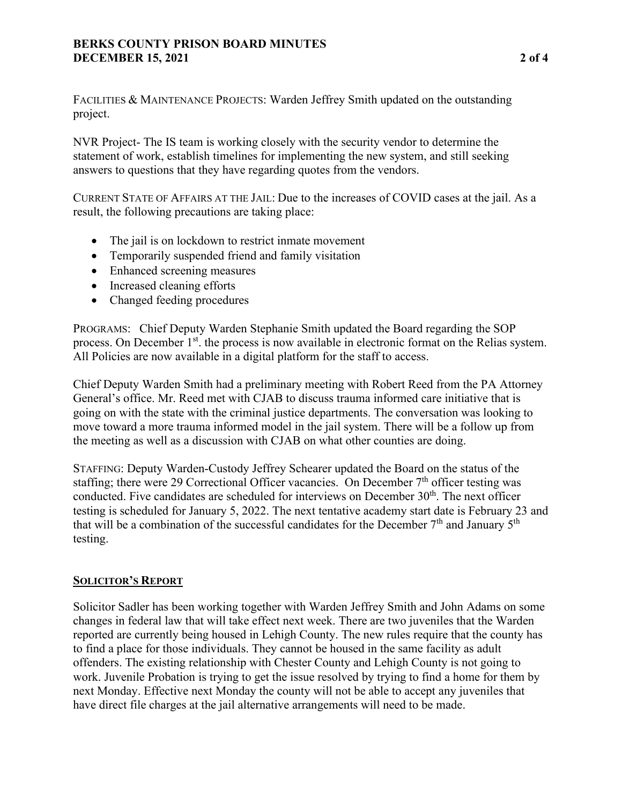## **BERKS COUNTY PRISON BOARD MINUTES DECEMBER 15, 2021 2 of 4**

FACILITIES & MAINTENANCE PROJECTS: Warden Jeffrey Smith updated on the outstanding project.

NVR Project- The IS team is working closely with the security vendor to determine the statement of work, establish timelines for implementing the new system, and still seeking answers to questions that they have regarding quotes from the vendors.

CURRENT STATE OF AFFAIRS AT THE JAIL: Due to the increases of COVID cases at the jail. As a result, the following precautions are taking place:

- The jail is on lockdown to restrict inmate movement
- Temporarily suspended friend and family visitation
- Enhanced screening measures
- Increased cleaning efforts
- Changed feeding procedures

PROGRAMS: Chief Deputy Warden Stephanie Smith updated the Board regarding the SOP process. On December 1<sup>st</sup>, the process is now available in electronic format on the Relias system. All Policies are now available in a digital platform for the staff to access.

Chief Deputy Warden Smith had a preliminary meeting with Robert Reed from the PA Attorney General's office. Mr. Reed met with CJAB to discuss trauma informed care initiative that is going on with the state with the criminal justice departments. The conversation was looking to move toward a more trauma informed model in the jail system. There will be a follow up from the meeting as well as a discussion with CJAB on what other counties are doing.

STAFFING: Deputy Warden-Custody Jeffrey Schearer updated the Board on the status of the staffing; there were 29 Correctional Officer vacancies. On December  $7<sup>th</sup>$  officer testing was conducted. Five candidates are scheduled for interviews on December  $30<sup>th</sup>$ . The next officer testing is scheduled for January 5, 2022. The next tentative academy start date is February 23 and that will be a combination of the successful candidates for the December  $7<sup>th</sup>$  and January  $5<sup>th</sup>$ testing.

## **SOLICITOR'S REPORT**

Solicitor Sadler has been working together with Warden Jeffrey Smith and John Adams on some changes in federal law that will take effect next week. There are two juveniles that the Warden reported are currently being housed in Lehigh County. The new rules require that the county has to find a place for those individuals. They cannot be housed in the same facility as adult offenders. The existing relationship with Chester County and Lehigh County is not going to work. Juvenile Probation is trying to get the issue resolved by trying to find a home for them by next Monday. Effective next Monday the county will not be able to accept any juveniles that have direct file charges at the jail alternative arrangements will need to be made.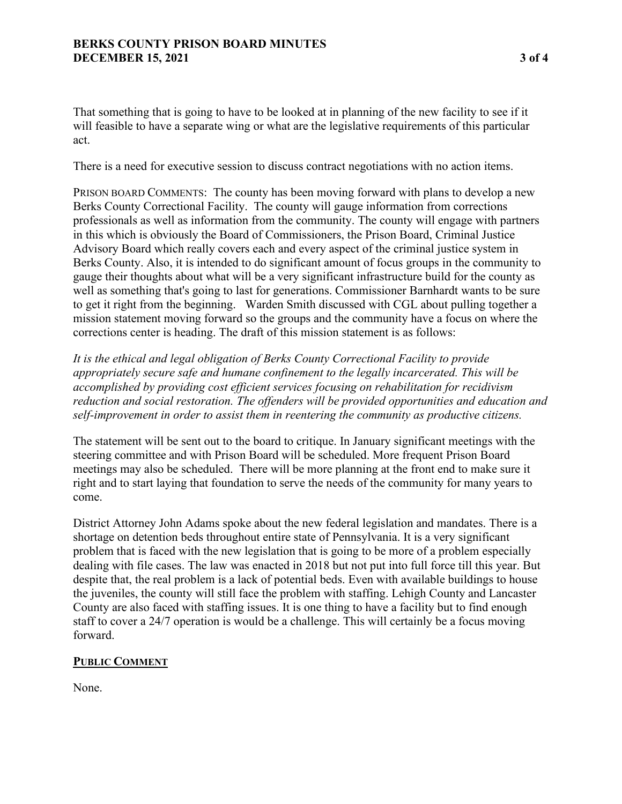That something that is going to have to be looked at in planning of the new facility to see if it will feasible to have a separate wing or what are the legislative requirements of this particular act.

There is a need for executive session to discuss contract negotiations with no action items.

PRISON BOARD COMMENTS: The county has been moving forward with plans to develop a new Berks County Correctional Facility. The county will gauge information from corrections professionals as well as information from the community. The county will engage with partners in this which is obviously the Board of Commissioners, the Prison Board, Criminal Justice Advisory Board which really covers each and every aspect of the criminal justice system in Berks County. Also, it is intended to do significant amount of focus groups in the community to gauge their thoughts about what will be a very significant infrastructure build for the county as well as something that's going to last for generations. Commissioner Barnhardt wants to be sure to get it right from the beginning. Warden Smith discussed with CGL about pulling together a mission statement moving forward so the groups and the community have a focus on where the corrections center is heading. The draft of this mission statement is as follows:

*It is the ethical and legal obligation of Berks County Correctional Facility to provide appropriately secure safe and humane confinement to the legally incarcerated. This will be accomplished by providing cost efficient services focusing on rehabilitation for recidivism reduction and social restoration. The offenders will be provided opportunities and education and self-improvement in order to assist them in reentering the community as productive citizens.*

The statement will be sent out to the board to critique. In January significant meetings with the steering committee and with Prison Board will be scheduled. More frequent Prison Board meetings may also be scheduled. There will be more planning at the front end to make sure it right and to start laying that foundation to serve the needs of the community for many years to come.

District Attorney John Adams spoke about the new federal legislation and mandates. There is a shortage on detention beds throughout entire state of Pennsylvania. It is a very significant problem that is faced with the new legislation that is going to be more of a problem especially dealing with file cases. The law was enacted in 2018 but not put into full force till this year. But despite that, the real problem is a lack of potential beds. Even with available buildings to house the juveniles, the county will still face the problem with staffing. Lehigh County and Lancaster County are also faced with staffing issues. It is one thing to have a facility but to find enough staff to cover a 24/7 operation is would be a challenge. This will certainly be a focus moving forward.

#### **PUBLIC COMMENT**

None.